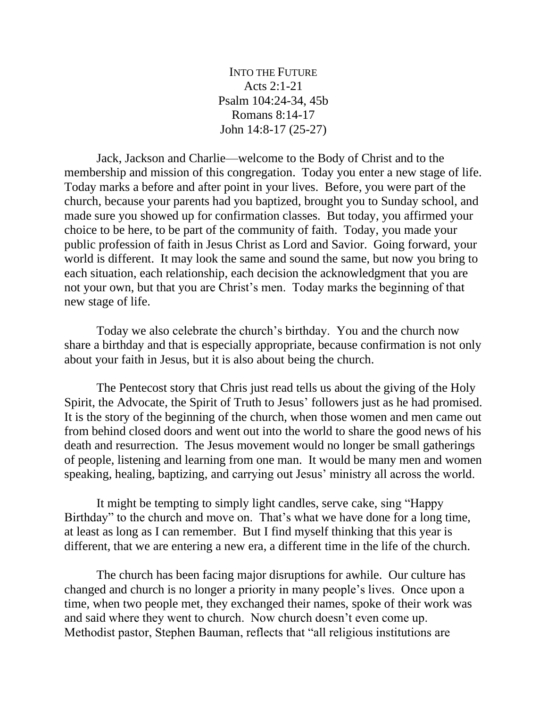INTO THE FUTURE Acts 2:1-21 Psalm 104:24-34, 45b Romans 8:14-17 John 14:8-17 (25-27)

Jack, Jackson and Charlie—welcome to the Body of Christ and to the membership and mission of this congregation. Today you enter a new stage of life. Today marks a before and after point in your lives. Before, you were part of the church, because your parents had you baptized, brought you to Sunday school, and made sure you showed up for confirmation classes. But today, you affirmed your choice to be here, to be part of the community of faith. Today, you made your public profession of faith in Jesus Christ as Lord and Savior. Going forward, your world is different. It may look the same and sound the same, but now you bring to each situation, each relationship, each decision the acknowledgment that you are not your own, but that you are Christ's men. Today marks the beginning of that new stage of life.

Today we also celebrate the church's birthday. You and the church now share a birthday and that is especially appropriate, because confirmation is not only about your faith in Jesus, but it is also about being the church.

The Pentecost story that Chris just read tells us about the giving of the Holy Spirit, the Advocate, the Spirit of Truth to Jesus' followers just as he had promised. It is the story of the beginning of the church, when those women and men came out from behind closed doors and went out into the world to share the good news of his death and resurrection. The Jesus movement would no longer be small gatherings of people, listening and learning from one man. It would be many men and women speaking, healing, baptizing, and carrying out Jesus' ministry all across the world.

It might be tempting to simply light candles, serve cake, sing "Happy Birthday" to the church and move on. That's what we have done for a long time, at least as long as I can remember. But I find myself thinking that this year is different, that we are entering a new era, a different time in the life of the church.

The church has been facing major disruptions for awhile. Our culture has changed and church is no longer a priority in many people's lives. Once upon a time, when two people met, they exchanged their names, spoke of their work was and said where they went to church. Now church doesn't even come up. Methodist pastor, Stephen Bauman, reflects that "all religious institutions are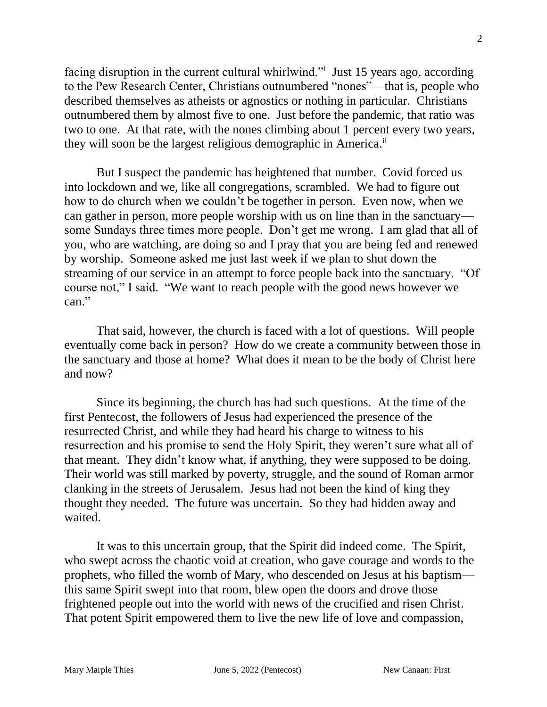facing disruption in the current cultural whirlwind." Just 15 years ago, according to the Pew Research Center, Christians outnumbered "nones"—that is, people who described themselves as atheists or agnostics or nothing in particular. Christians outnumbered them by almost five to one. Just before the pandemic, that ratio was two to one. At that rate, with the nones climbing about 1 percent every two years, they will soon be the largest religious demographic in America.<sup>ii</sup>

But I suspect the pandemic has heightened that number. Covid forced us into lockdown and we, like all congregations, scrambled. We had to figure out how to do church when we couldn't be together in person. Even now, when we can gather in person, more people worship with us on line than in the sanctuary some Sundays three times more people. Don't get me wrong. I am glad that all of you, who are watching, are doing so and I pray that you are being fed and renewed by worship. Someone asked me just last week if we plan to shut down the streaming of our service in an attempt to force people back into the sanctuary. "Of course not," I said. "We want to reach people with the good news however we can."

That said, however, the church is faced with a lot of questions. Will people eventually come back in person? How do we create a community between those in the sanctuary and those at home? What does it mean to be the body of Christ here and now?

Since its beginning, the church has had such questions. At the time of the first Pentecost, the followers of Jesus had experienced the presence of the resurrected Christ, and while they had heard his charge to witness to his resurrection and his promise to send the Holy Spirit, they weren't sure what all of that meant. They didn't know what, if anything, they were supposed to be doing. Their world was still marked by poverty, struggle, and the sound of Roman armor clanking in the streets of Jerusalem. Jesus had not been the kind of king they thought they needed. The future was uncertain. So they had hidden away and waited.

It was to this uncertain group, that the Spirit did indeed come. The Spirit, who swept across the chaotic void at creation, who gave courage and words to the prophets, who filled the womb of Mary, who descended on Jesus at his baptism this same Spirit swept into that room, blew open the doors and drove those frightened people out into the world with news of the crucified and risen Christ. That potent Spirit empowered them to live the new life of love and compassion,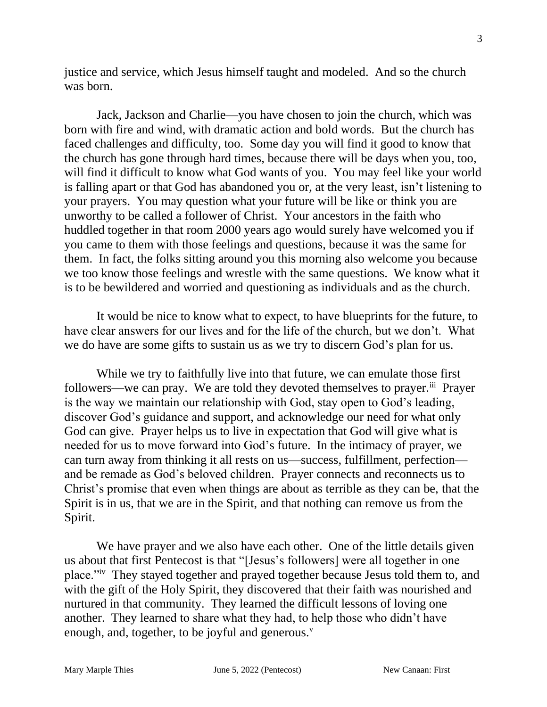justice and service, which Jesus himself taught and modeled. And so the church was born.

Jack, Jackson and Charlie—you have chosen to join the church, which was born with fire and wind, with dramatic action and bold words. But the church has faced challenges and difficulty, too. Some day you will find it good to know that the church has gone through hard times, because there will be days when you, too, will find it difficult to know what God wants of you. You may feel like your world is falling apart or that God has abandoned you or, at the very least, isn't listening to your prayers. You may question what your future will be like or think you are unworthy to be called a follower of Christ. Your ancestors in the faith who huddled together in that room 2000 years ago would surely have welcomed you if you came to them with those feelings and questions, because it was the same for them. In fact, the folks sitting around you this morning also welcome you because we too know those feelings and wrestle with the same questions. We know what it is to be bewildered and worried and questioning as individuals and as the church.

It would be nice to know what to expect, to have blueprints for the future, to have clear answers for our lives and for the life of the church, but we don't. What we do have are some gifts to sustain us as we try to discern God's plan for us.

While we try to faithfully live into that future, we can emulate those first followers—we can pray. We are told they devoted themselves to prayer.<sup>iii</sup> Prayer is the way we maintain our relationship with God, stay open to God's leading, discover God's guidance and support, and acknowledge our need for what only God can give. Prayer helps us to live in expectation that God will give what is needed for us to move forward into God's future. In the intimacy of prayer, we can turn away from thinking it all rests on us—success, fulfillment, perfection and be remade as God's beloved children. Prayer connects and reconnects us to Christ's promise that even when things are about as terrible as they can be, that the Spirit is in us, that we are in the Spirit, and that nothing can remove us from the Spirit.

We have prayer and we also have each other. One of the little details given us about that first Pentecost is that "[Jesus's followers] were all together in one place."<sup>iv</sup> They stayed together and prayed together because Jesus told them to, and with the gift of the Holy Spirit, they discovered that their faith was nourished and nurtured in that community. They learned the difficult lessons of loving one another. They learned to share what they had, to help those who didn't have enough, and, together, to be joyful and generous.<sup>v</sup>